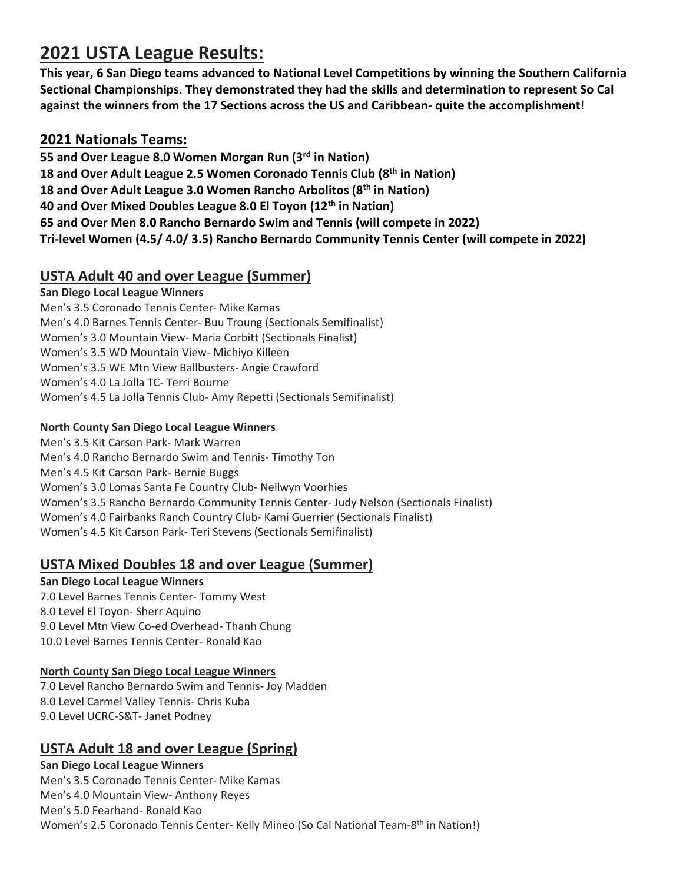# **2021 USTA League Results:**

**This year, 6 San Diego teams advanced to National Level Competitions by winning the Southern California Sectional Championships. They demonstrated they had the skills and determination to represent So Cal against the winners from the 17 Sections across the US and Caribbean- quite the accomplishment!** 

### **2021 Nationals Teams:**

**55 and Over League 8.0 Women Morgan Run (3rd in Nation) 18 and Over Adult League 2.5 Women Coronado Tennis Club (8th in Nation) 18 and Over Adult League 3.0 Women Rancho Arbolitos (8th in Nation) 40 and Over Mixed Doubles League 8.0 El Toyon (12th in Nation) 65 and Over Men 8.0 Rancho Bernardo Swim and Tennis (will compete in 2022) Tri-level Women (4.5/ 4.0/ 3.5) Rancho Bernardo Community Tennis Center (will compete in 2022)** 

# **USTA Adult 40 and over League (Summer)**

### **San Diego Local League Winners**

Men's 3.5 Coronado Tennis Center- Mike Kamas Men's 4.0 Barnes Tennis Center- Buu Troung (Sectionals Semifinalist) Women's 3.0 Mountain View- Maria Corbitt (Sectionals Finalist) Women's 3.5 WD Mountain View- Michiyo Killeen Women's 3.5 WE Mtn View Ballbusters- Angie Crawford Women's 4.0 La Jolla TC- Terri Bourne Women's 4.5 La Jolla Tennis Club- Amy Repetti (Sectionals Semifinalist)

### **North County San Diego Local League Winners**

Men's 3.5 Kit Carson Park- Mark Warren Men's 4.0 Rancho Bernardo Swim and Tennis- Timothy Ton Men's 4.5 Kit Carson Park- Bernie Buggs Women's 3.0 Lomas Santa Fe Country Club- Nellwyn Voorhies Women's 3.5 Rancho Bernardo Community Tennis Center- Judy Nelson (Sectionals Finalist) Women's 4.0 Fairbanks Ranch Country Club- Kami Guerrier (Sectionals Finalist) Women's 4.5 Kit Carson Park- Teri Stevens (Sectionals Semifinalist)

# **USTA Mixed Doubles 18 and over League (Summer)**

### **San Diego Local League Winners**

7.0 Level Barnes Tennis Center- Tommy West 8.0 Level El Toyon- Sherr Aquino 9.0 Level Mtn View Co-ed Overhead- Thanh Chung 10.0 Level Barnes Tennis Center- Ronald Kao

### **North County San Diego Local League Winners**

7.0 Level Rancho Bernardo Swim and Tennis- Joy Madden 8.0 Level Carmel Valley Tennis- Chris Kuba 9.0 Level UCRC-S&T- Janet Podney

# **USTA Adult 18 and over League (Spring)**

### **San Diego Local League Winners**  Men's 3.5 Coronado Tennis Center- Mike Kamas Men's 4.0 Mountain View- Anthony Reyes Men's 5.0 Fearhand- Ronald Kao Women's 2.5 Coronado Tennis Center- Kelly Mineo (So Cal National Team-8<sup>th</sup> in Nation!)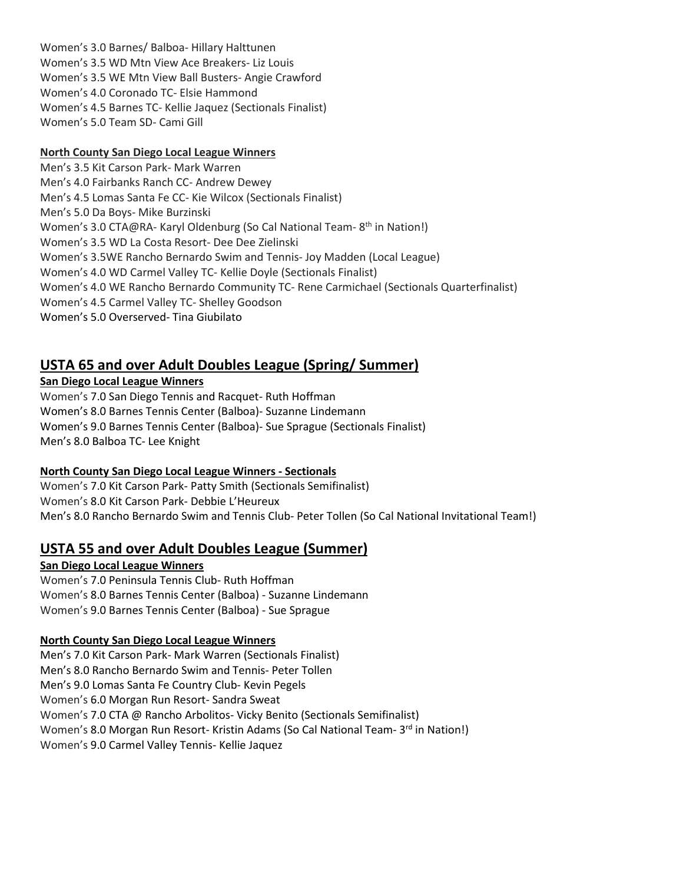Women's 3.0 Barnes/ Balboa- Hillary Halttunen Women's 3.5 WD Mtn View Ace Breakers- Liz Louis Women's 3.5 WE Mtn View Ball Busters- Angie Crawford Women's 4.0 Coronado TC- Elsie Hammond Women's 4.5 Barnes TC- Kellie Jaquez (Sectionals Finalist) Women's 5.0 Team SD- Cami Gill

### **North County San Diego Local League Winners**

Men's 3.5 Kit Carson Park- Mark Warren Men's 4.0 Fairbanks Ranch CC- Andrew Dewey Men's 4.5 Lomas Santa Fe CC- Kie Wilcox (Sectionals Finalist) Men's 5.0 Da Boys- Mike Burzinski Women's 3.0 CTA@RA- Karyl Oldenburg (So Cal National Team- 8<sup>th</sup> in Nation!) Women's 3.5 WD La Costa Resort- Dee Dee Zielinski Women's 3.5WE Rancho Bernardo Swim and Tennis- Joy Madden (Local League) Women's 4.0 WD Carmel Valley TC- Kellie Doyle (Sectionals Finalist) Women's 4.0 WE Rancho Bernardo Community TC- Rene Carmichael (Sectionals Quarterfinalist) Women's 4.5 Carmel Valley TC- Shelley Goodson Women's 5.0 Overserved- Tina Giubilato

### **USTA 65 and over Adult Doubles League (Spring/ Summer)**

### **San Diego Local League Winners**

Women's 7.0 San Diego Tennis and Racquet- Ruth Hoffman Women's 8.0 Barnes Tennis Center (Balboa)- Suzanne Lindemann Women's 9.0 Barnes Tennis Center (Balboa)- Sue Sprague (Sectionals Finalist) Men's 8.0 Balboa TC- Lee Knight

### **North County San Diego Local League Winners - Sectionals**

Women's 7.0 Kit Carson Park- Patty Smith (Sectionals Semifinalist) Women's 8.0 Kit Carson Park- Debbie L'Heureux Men's 8.0 Rancho Bernardo Swim and Tennis Club- Peter Tollen (So Cal National Invitational Team!)

### **USTA 55 and over Adult Doubles League (Summer)**

### **San Diego Local League Winners**  Women's 7.0 Peninsula Tennis Club- Ruth Hoffman

Women's 8.0 Barnes Tennis Center (Balboa) - Suzanne Lindemann Women's 9.0 Barnes Tennis Center (Balboa) - Sue Sprague

### **North County San Diego Local League Winners**

Men's 7.0 Kit Carson Park- Mark Warren (Sectionals Finalist) Men's 8.0 Rancho Bernardo Swim and Tennis- Peter Tollen Men's 9.0 Lomas Santa Fe Country Club- Kevin Pegels Women's 6.0 Morgan Run Resort- Sandra Sweat Women's 7.0 CTA @ Rancho Arbolitos- Vicky Benito (Sectionals Semifinalist) Women's 8.0 Morgan Run Resort- Kristin Adams (So Cal National Team- 3<sup>rd</sup> in Nation!) Women's 9.0 Carmel Valley Tennis- Kellie Jaquez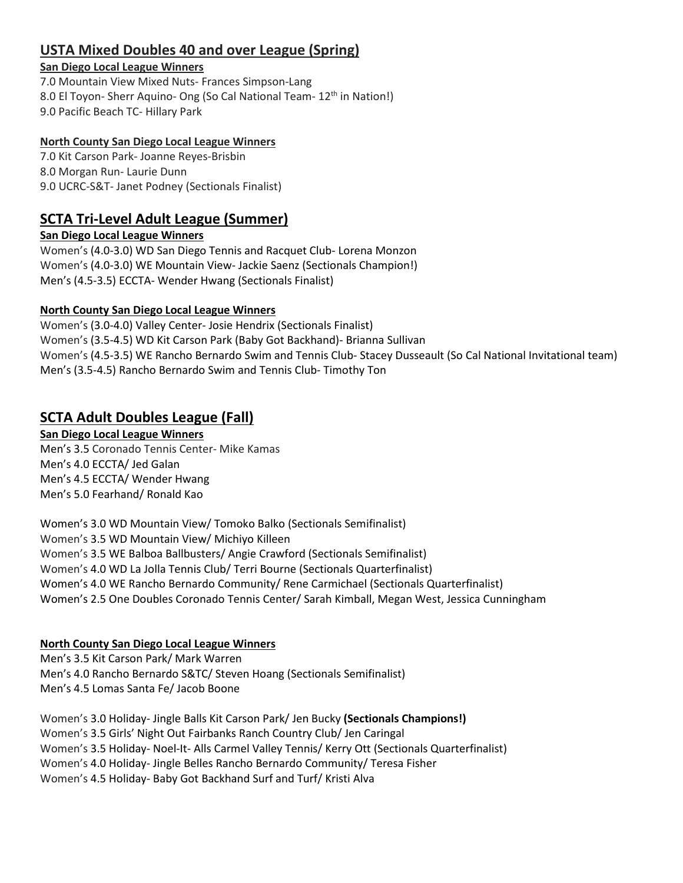# **USTA Mixed Doubles 40 and over League (Spring)**

#### **San Diego Local League Winners**

7.0 Mountain View Mixed Nuts- Frances Simpson-Lang 8.0 El Toyon- Sherr Aquino- Ong (So Cal National Team- 12<sup>th</sup> in Nation!) 9.0 Pacific Beach TC- Hillary Park

### **North County San Diego Local League Winners**

7.0 Kit Carson Park- Joanne Reyes-Brisbin 8.0 Morgan Run- Laurie Dunn 9.0 UCRC-S&T- Janet Podney (Sectionals Finalist)

# **SCTA Tri-Level Adult League (Summer)**

**San Diego Local League Winners** 

Women's (4.0-3.0) WD San Diego Tennis and Racquet Club- Lorena Monzon Women's (4.0-3.0) WE Mountain View- Jackie Saenz (Sectionals Champion!) Men's (4.5-3.5) ECCTA- Wender Hwang (Sectionals Finalist)

### **North County San Diego Local League Winners**

Women's (3.0-4.0) Valley Center- Josie Hendrix (Sectionals Finalist) Women's (3.5-4.5) WD Kit Carson Park (Baby Got Backhand)- Brianna Sullivan Women's (4.5-3.5) WE Rancho Bernardo Swim and Tennis Club- Stacey Dusseault (So Cal National Invitational team) Men's (3.5-4.5) Rancho Bernardo Swim and Tennis Club- Timothy Ton

# **SCTA Adult Doubles League (Fall)**

### **San Diego Local League Winners**

Men's 3.5 Coronado Tennis Center- Mike Kamas Men's 4.0 ECCTA/ Jed Galan Men's 4.5 ECCTA/ Wender Hwang Men's 5.0 Fearhand/ Ronald Kao

Women's 3.0 WD Mountain View/ Tomoko Balko (Sectionals Semifinalist) Women's 3.5 WD Mountain View/ Michiyo Killeen Women's 3.5 WE Balboa Ballbusters/ Angie Crawford (Sectionals Semifinalist) Women's 4.0 WD La Jolla Tennis Club/ Terri Bourne (Sectionals Quarterfinalist) Women's 4.0 WE Rancho Bernardo Community/ Rene Carmichael (Sectionals Quarterfinalist) Women's 2.5 One Doubles Coronado Tennis Center/ Sarah Kimball, Megan West, Jessica Cunningham

### **North County San Diego Local League Winners**

Men's 3.5 Kit Carson Park/ Mark Warren Men's 4.0 Rancho Bernardo S&TC/ Steven Hoang (Sectionals Semifinalist) Men's 4.5 Lomas Santa Fe/ Jacob Boone

Women's 3.0 Holiday- Jingle Balls Kit Carson Park/ Jen Bucky **(Sectionals Champions!)** Women's 3.5 Girls' Night Out Fairbanks Ranch Country Club/ Jen Caringal Women's 3.5 Holiday- Noel-It- Alls Carmel Valley Tennis/ Kerry Ott (Sectionals Quarterfinalist) Women's 4.0 Holiday- Jingle Belles Rancho Bernardo Community/ Teresa Fisher Women's 4.5 Holiday- Baby Got Backhand Surf and Turf/ Kristi Alva